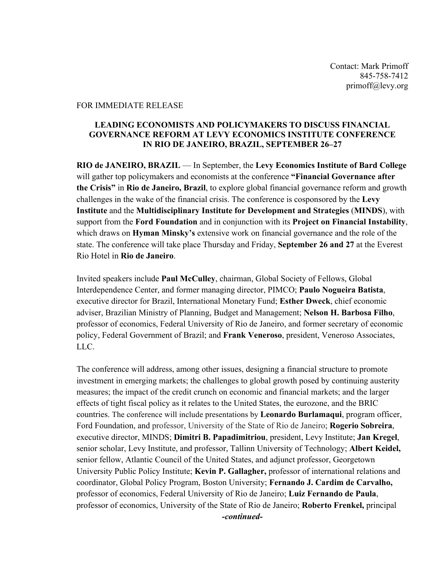Contact: Mark Primoff 845-758-7412 primoff@levy.org

#### FOR IMMEDIATE RELEASE

#### **LEADING ECONOMISTS AND POLICYMAKERS TO DISCUSS FINANCIAL GOVERNANCE REFORM AT LEVY ECONOMICS INSTITUTE CONFERENCE IN RIO DE JANEIRO, BRAZIL, SEPTEMBER 26–27**

**RIO de JANEIRO, BRAZIL** — In September, the **Levy Economics Institute of Bard College** will gather top policymakers and economists at the conference **"Financial Governance after the Crisis"** in **Rio de Janeiro, Brazil**, to explore global financial governance reform and growth challenges in the wake of the financial crisis. The conference is cosponsored by the **Levy Institute** and the **Multidisciplinary Institute for Development and Strategies** (**MINDS**), with support from the **Ford Foundation** and in conjunction with its **Project on Financial Instability**, which draws on **Hyman Minsky's** extensive work on financial governance and the role of the state. The conference will take place Thursday and Friday, **September 26 and 27** at the Everest Rio Hotel in **Rio de Janeiro**.

Invited speakers include **Paul McCulley**, chairman, Global Society of Fellows, Global Interdependence Center, and former managing director, PIMCO; **Paulo Nogueira Batista**, executive director for Brazil, International Monetary Fund; **Esther Dweck**, chief economic adviser, Brazilian Ministry of Planning, Budget and Management; **Nelson H. Barbosa Filho**, professor of economics, Federal University of Rio de Janeiro, and former secretary of economic policy, Federal Government of Brazil; and **Frank Veneroso**, president, Veneroso Associates, LLC.

The conference will address, among other issues, designing a financial structure to promote investment in emerging markets; the challenges to global growth posed by continuing austerity measures; the impact of the credit crunch on economic and financial markets; and the larger effects of tight fiscal policy as it relates to the United States, the eurozone, and the BRIC countries. The conference will include presentations by **Leonardo Burlamaqui**, program officer, Ford Foundation, and professor, University of the State of Rio de Janeiro; **Rogerio Sobreira**, executive director, MINDS; **Dimitri B. Papadimitriou**, president, Levy Institute; **Jan Kregel**, senior scholar, Levy Institute, and professor, Tallinn University of Technology; **Albert Keidel,**  senior fellow, Atlantic Council of the United States, and adjunct professor, Georgetown University Public Policy Institute; **Kevin P. Gallagher,** professor of international relations and coordinator, Global Policy Program, Boston University; **Fernando J. Cardim de Carvalho,**  professor of economics, Federal University of Rio de Janeiro; **Luiz Fernando de Paula**, professor of economics, University of the State of Rio de Janeiro; **Roberto Frenkel,** principal *-continued-*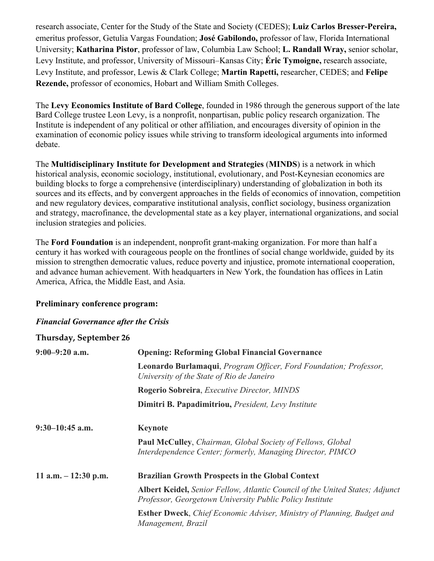research associate, Center for the Study of the State and Society (CEDES); **Luiz Carlos Bresser-Pereira,**  emeritus professor, Getulia Vargas Foundation; **José Gabilondo,** professor of law, Florida International University; **Katharina Pistor**, professor of law, Columbia Law School; **L. Randall Wray,** senior scholar, Levy Institute, and professor, University of Missouri–Kansas City; **Éric Tymoigne,** research associate, Levy Institute, and professor, Lewis & Clark College; **Martin Rapetti,** researcher, CEDES; and **Felipe Rezende,** professor of economics, Hobart and William Smith Colleges.

The **Levy Economics Institute of Bard College**, founded in 1986 through the generous support of the late Bard College trustee Leon Levy, is a nonprofit, nonpartisan, public policy research organization. The Institute is independent of any political or other affiliation, and encourages diversity of opinion in the examination of economic policy issues while striving to transform ideological arguments into informed debate.

The **Multidisciplinary Institute for Development and Strategies** (**MINDS**) is a network in which historical analysis, economic sociology, institutional, evolutionary, and Post-Keynesian economics are building blocks to forge a comprehensive (interdisciplinary) understanding of globalization in both its sources and its effects, and by convergent approaches in the fields of economics of innovation, competition and new regulatory devices, comparative institutional analysis, conflict sociology, business organization and strategy, macrofinance, the developmental state as a key player, international organizations, and social inclusion strategies and policies.

The **Ford Foundation** is an independent, nonprofit grant-making organization. For more than half a century it has worked with courageous people on the frontlines of social change worldwide, guided by its mission to strengthen democratic values, reduce poverty and injustice, promote international cooperation, and advance human achievement. With headquarters in New York, the foundation has offices in Latin America, Africa, the Middle East, and Asia.

### **Preliminary conference program:**

### *Financial Governance after the Crisis*

## **Thursday, September 26**

| $9:00-9:20$ a.m.      | <b>Opening: Reforming Global Financial Governance</b>                                                                                           |
|-----------------------|-------------------------------------------------------------------------------------------------------------------------------------------------|
|                       | Leonardo Burlamaqui, Program Officer, Ford Foundation; Professor,<br>University of the State of Rio de Janeiro                                  |
|                       | Rogerio Sobreira, Executive Director, MINDS                                                                                                     |
|                       | Dimitri B. Papadimitriou, President, Levy Institute                                                                                             |
| $9:30-10:45$ a.m.     | <b>Keynote</b>                                                                                                                                  |
|                       | Paul McCulley, Chairman, Global Society of Fellows, Global<br>Interdependence Center; formerly, Managing Director, PIMCO                        |
| 11 a.m. $-12:30$ p.m. | <b>Brazilian Growth Prospects in the Global Context</b>                                                                                         |
|                       | <b>Albert Keidel, Senior Fellow, Atlantic Council of the United States; Adjunct</b><br>Professor, Georgetown University Public Policy Institute |
|                       | Esther Dweck, Chief Economic Adviser, Ministry of Planning, Budget and<br>Management, Brazil                                                    |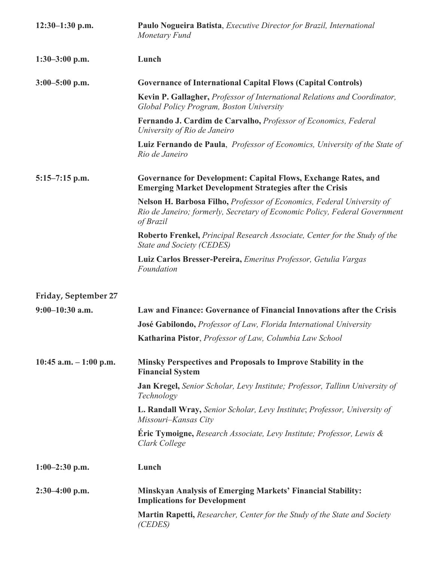| $12:30-1:30$ p.m.       | Paulo Nogueira Batista, Executive Director for Brazil, International<br>Monetary Fund                                                                             |
|-------------------------|-------------------------------------------------------------------------------------------------------------------------------------------------------------------|
| $1:30-3:00$ p.m.        | Lunch                                                                                                                                                             |
| $3:00 - 5:00$ p.m.      | <b>Governance of International Capital Flows (Capital Controls)</b>                                                                                               |
|                         | Kevin P. Gallagher, Professor of International Relations and Coordinator,<br>Global Policy Program, Boston University                                             |
|                         | Fernando J. Cardim de Carvalho, Professor of Economics, Federal<br>University of Rio de Janeiro                                                                   |
|                         | <b>Luiz Fernando de Paula, Professor of Economics, University of the State of</b><br>Rio de Janeiro                                                               |
| $5:15-7:15$ p.m.        | <b>Governance for Development: Capital Flows, Exchange Rates, and</b><br><b>Emerging Market Development Strategies after the Crisis</b>                           |
|                         | Nelson H. Barbosa Filho, Professor of Economics, Federal University of<br>Rio de Janeiro; formerly, Secretary of Economic Policy, Federal Government<br>of Brazil |
|                         | <b>Roberto Frenkel, Principal Research Associate, Center for the Study of the</b><br><b>State and Society (CEDES)</b>                                             |
|                         | Luiz Carlos Bresser-Pereira, Emeritus Professor, Getulia Vargas<br>Foundation                                                                                     |
| Friday, September 27    |                                                                                                                                                                   |
| $9:00-10:30$ a.m.       | Law and Finance: Governance of Financial Innovations after the Crisis                                                                                             |
|                         | José Gabilondo, Professor of Law, Florida International University                                                                                                |
|                         | Katharina Pistor, Professor of Law, Columbia Law School                                                                                                           |
| 10:45 a.m. $-1:00$ p.m. | Minsky Perspectives and Proposals to Improve Stability in the<br><b>Financial System</b>                                                                          |
|                         | Jan Kregel, Senior Scholar, Levy Institute; Professor, Tallinn University of<br>Technology                                                                        |
|                         | L. Randall Wray, Senior Scholar, Levy Institute; Professor, University of<br>Missouri-Kansas City                                                                 |
|                         | Eric Tymoigne, Research Associate, Levy Institute; Professor, Lewis &<br>Clark College                                                                            |
| $1:00-2:30$ p.m.        | Lunch                                                                                                                                                             |
| $2:30-4:00$ p.m.        | Minskyan Analysis of Emerging Markets' Financial Stability:<br><b>Implications for Development</b>                                                                |
|                         | <b>Martin Rapetti, Researcher, Center for the Study of the State and Society</b><br>(CEDES)                                                                       |